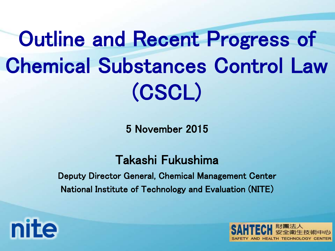Outline and Recent Progress of Chemical Substances Control Law (CSCL)

5 November 2015

Takashi Fukushima

Deputy Director General, Chemical Management Center National Institute of Technology and Evaluation (NITE)

**nite** 

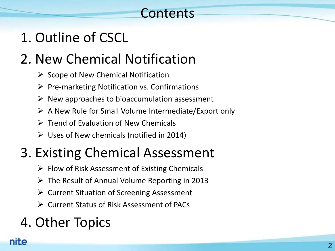### **Contents**

### 1. Outline of CSCL

### 2. New Chemical Notification

- $\triangleright$  Scope of New Chemical Notification
- $\triangleright$  Pre-marketing Notification vs. Confirmations
- $\triangleright$  New approaches to bioaccumulation assessment
- $\triangleright$  A New Rule for Small Volume Intermediate/Export only
- $\triangleright$  Trend of Evaluation of New Chemicals
- $\triangleright$  Uses of New chemicals (notified in 2014)

### 3. Existing Chemical Assessment

- $\triangleright$  Flow of Risk Assessment of Existing Chemicals
- $\triangleright$  The Result of Annual Volume Reporting in 2013
- $\triangleright$  Current Situation of Screening Assessment
- Current Status of Risk Assessment of PACs

### 4. Other Topics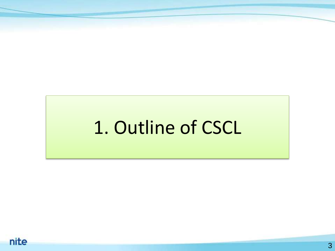# 1. Outline of CSCL

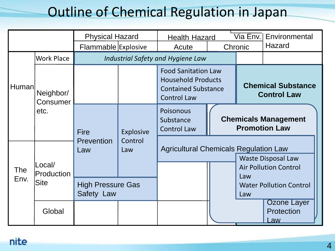### Outline of Chemical Regulation in Japan

|                    |                                     | <b>Physical Hazard</b>                 |                                    | <b>Health Hazard</b>                                                                                        |  | Via Env. l                                          | Environmental                           |  |  |  |  |  |  |  |  |  |                                                                           |  |
|--------------------|-------------------------------------|----------------------------------------|------------------------------------|-------------------------------------------------------------------------------------------------------------|--|-----------------------------------------------------|-----------------------------------------|--|--|--|--|--|--|--|--|--|---------------------------------------------------------------------------|--|
|                    |                                     | Flammable Explosive                    |                                    | Acute                                                                                                       |  | Chronic                                             | Hazard                                  |  |  |  |  |  |  |  |  |  |                                                                           |  |
|                    | <b>Work Place</b>                   |                                        |                                    | Industrial Safety and Hygiene Law                                                                           |  |                                                     |                                         |  |  |  |  |  |  |  |  |  |                                                                           |  |
| Human              | Neighbor/<br>Consumer               |                                        |                                    | <b>Food Sanitation Law</b><br><b>Household Products</b><br><b>Contained Substance</b><br><b>Control Law</b> |  | <b>Chemical Substance</b><br><b>Control Law</b>     |                                         |  |  |  |  |  |  |  |  |  |                                                                           |  |
|                    | etc.                                | <b>Fire</b>                            | <b>Explosive</b><br>Control<br>Law | <b>Poisonous</b><br>Substance<br><b>Control Law</b>                                                         |  | <b>Chemicals Management</b><br><b>Promotion Law</b> |                                         |  |  |  |  |  |  |  |  |  |                                                                           |  |
|                    | Local/<br>Production<br><b>Site</b> | Prevention<br>Law                      |                                    |                                                                                                             |  |                                                     |                                         |  |  |  |  |  |  |  |  |  | <b>Agricultural Chemicals Regulation Law</b><br><b>Waste Disposal Law</b> |  |
| <b>The</b><br>Env. |                                     |                                        |                                    |                                                                                                             |  | Law                                                 | <b>Air Pollution Control</b>            |  |  |  |  |  |  |  |  |  |                                                                           |  |
|                    |                                     | <b>High Pressure Gas</b><br>Safety Law |                                    |                                                                                                             |  | Law                                                 | <b>Water Pollution Control</b>          |  |  |  |  |  |  |  |  |  |                                                                           |  |
|                    | Global                              |                                        |                                    |                                                                                                             |  |                                                     | <b>Ozone Layer</b><br>Protection<br>Law |  |  |  |  |  |  |  |  |  |                                                                           |  |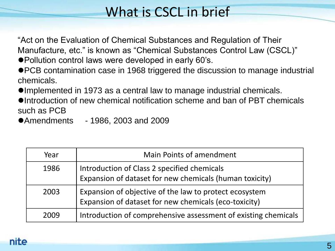### What is CSCL in brief

"Act on the Evaluation of Chemical Substances and Regulation of Their Manufacture, etc." is known as "Chemical Substances Control Law (CSCL)" ● Pollution control laws were developed in early 60's.

- PCB contamination case in 1968 triggered the discussion to manage industrial chemicals.
- Implemented in 1973 as a central law to manage industrial chemicals.
- Introduction of new chemical notification scheme and ban of PBT chemicals such as PCB
- ●Amendments 1986, 2003 and 2009

| Year | Main Points of amendment                                                                                        |
|------|-----------------------------------------------------------------------------------------------------------------|
| 1986 | Introduction of Class 2 specified chemicals<br>Expansion of dataset for new chemicals (human toxicity)          |
| 2003 | Expansion of objective of the law to protect ecosystem<br>Expansion of dataset for new chemicals (eco-toxicity) |
| 2009 | Introduction of comprehensive assessment of existing chemicals                                                  |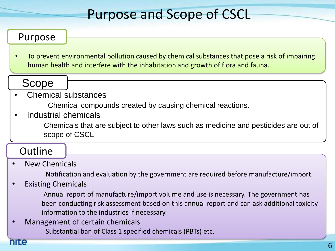### Purpose and Scope of CSCL

#### Purpose

• To prevent environmental pollution caused by chemical substances that pose a risk of impairing human health and interfere with the inhabitation and growth of flora and fauna.

#### Scope

#### • Chemical substances

Chemical compounds created by causing chemical reactions.

• Industrial chemicals

Chemicals that are subject to other laws such as medicine and pesticides are out of scope of CSCL

#### **Outline**

#### • New Chemicals

Notification and evaluation by the government are required before manufacture/import.

#### • Existing Chemicals

Annual report of manufacture/import volume and use is necessary. The government has been conducting risk assessment based on this annual report and can ask additional toxicity information to the industries if necessary.

• Management of certain chemicals Substantial ban of Class 1 specified chemicals (PBTs) etc.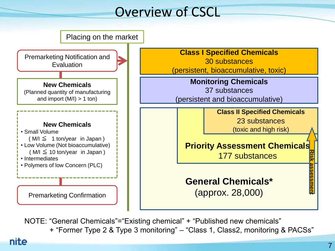### Overview of CSCL



NOTE: "General Chemicals"="Existing chemical" + "Published new chemicals" + "Former Type 2 & Type 3 monitoring" – "Class 1, Class2, monitoring & PACSs"

nite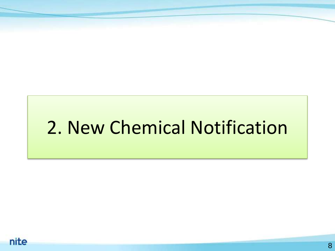# 2. New Chemical Notification

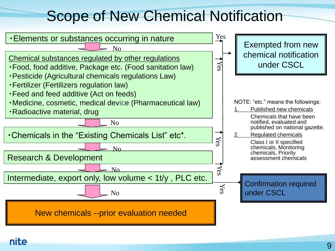### Scope of New Chemical Notification

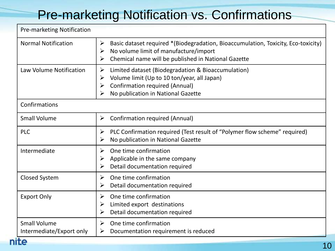### Pre-marketing Notification vs. Confirmations

| <b>Pre-marketing Notification</b>               |                                                                                                                                                                                                      |  |  |  |  |  |
|-------------------------------------------------|------------------------------------------------------------------------------------------------------------------------------------------------------------------------------------------------------|--|--|--|--|--|
| <b>Normal Notification</b>                      | Basic dataset required *(Biodegradation, Bioaccumulation, Toxicity, Eco-toxicity)<br>➤<br>No volume limit of manufacture/import<br>➤<br>Chemical name will be published in National Gazette<br>➤     |  |  |  |  |  |
| Law Volume Notification                         | Limited dataset (Biodegradation & Bioaccumulation)<br>➤<br>Volume limit (Up to 10 ton/year, all Japan)<br>➤<br><b>Confirmation required (Annual)</b><br>➤<br>No publication in National Gazette<br>➤ |  |  |  |  |  |
| Confirmations                                   |                                                                                                                                                                                                      |  |  |  |  |  |
| <b>Small Volume</b>                             | <b>Confirmation required (Annual)</b><br>➤                                                                                                                                                           |  |  |  |  |  |
| <b>PLC</b>                                      | PLC Confirmation required (Test result of "Polymer flow scheme" required)<br>➤<br>No publication in National Gazette<br>$\blacktriangleright$                                                        |  |  |  |  |  |
| Intermediate                                    | One time confirmation<br>➤<br>Applicable in the same company<br>Detail documentation required<br>➤                                                                                                   |  |  |  |  |  |
| <b>Closed System</b>                            | One time confirmation<br>$\blacktriangleright$<br>Detail documentation required<br>➤                                                                                                                 |  |  |  |  |  |
| <b>Export Only</b>                              | One time confirmation<br>$\blacktriangleright$<br>Limited export destinations<br>➤<br>Detail documentation required<br>$\blacktriangleright$                                                         |  |  |  |  |  |
| <b>Small Volume</b><br>Intermediate/Export only | One time confirmation<br>➤<br>Documentation requirement is reduced<br>➤                                                                                                                              |  |  |  |  |  |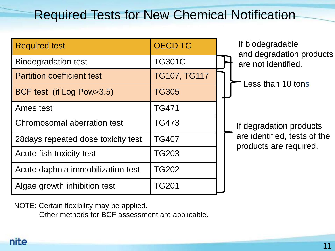### Required Tests for New Chemical Notification

| <b>Required test</b>                | <b>OECD TG</b>      | If biodegradable                                       |
|-------------------------------------|---------------------|--------------------------------------------------------|
| <b>Biodegradation test</b>          | <b>TG301C</b>       | and degradation products<br>are not identified.        |
| <b>Partition coefficient test</b>   | <b>TG107, TG117</b> | Less than 10 tons                                      |
| BCF test (if Log Pow>3.5)           | <b>TG305</b>        |                                                        |
| Ames test                           | <b>TG471</b>        |                                                        |
| Chromosomal aberration test         | <b>TG473</b>        | If degradation products                                |
| 28 days repeated dose toxicity test | <b>TG407</b>        | are identified, tests of the<br>products are required. |
| Acute fish toxicity test            | <b>TG203</b>        |                                                        |
| Acute daphnia immobilization test   | <b>TG202</b>        |                                                        |
| Algae growth inhibition test        | <b>TG201</b>        |                                                        |

NOTE: Certain flexibility may be applied.

Other methods for BCF assessment are applicable.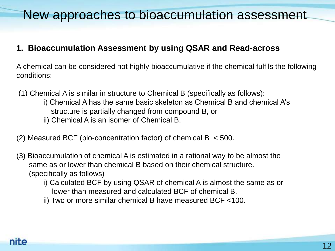### New approaches to bioaccumulation assessment

#### **1. Bioaccumulation Assessment by using QSAR and Read-across**

A chemical can be considered not highly bioaccumulative if the chemical fulfils the following conditions:

- (1) Chemical A is similar in structure to Chemical B (specifically as follows):
	- i) Chemical A has the same basic skeleton as Chemical B and chemical A's structure is partially changed from compound B, or
	- ii) Chemical A is an isomer of Chemical B.
- (2) Measured BCF (bio-concentration factor) of chemical B < 500.
- (3) Bioaccumulation of chemical A is estimated in a rational way to be almost the same as or lower than chemical B based on their chemical structure. (specifically as follows)
	- i) Calculated BCF by using QSAR of chemical A is almost the same as or lower than measured and calculated BCF of chemical B.
	- ii) Two or more similar chemical B have measured BCF <100.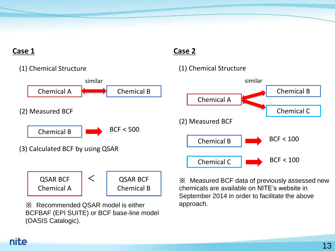#### **Case 1**



BCFBAF (EPI SUITE) or BCF base-line model (OASIS Catalogic).

#### **Case 2**



※ Measured BCF data of previously assessed new chemicals are available on NITE's website in September 2014 in order to facilitate the above approach.

#### nite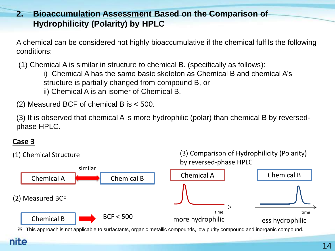#### **2. Bioaccumulation Assessment Based on the Comparison of Hydrophilicity (Polarity) by HPLC**

A chemical can be considered not highly bioaccumulative if the chemical fulfils the following conditions:

(1) Chemical A is similar in structure to chemical B. (specifically as follows):

i) Chemical A has the same basic skeleton as Chemical B and chemical A's structure is partially changed from compound B, or ii) Chemical A is an isomer of Chemical B.

(2) Measured BCF of chemical B is < 500.

(3) It is observed that chemical A is more hydrophilic (polar) than chemical B by reversedphase HPLC.

#### **Case 3**

nite



※ This approach is not applicable to surfactants, organic metallic compounds, low purity compound and inorganic compound.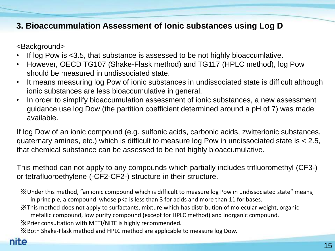#### **3. Bioaccummulation Assessment of Ionic substances using Log D**

<Background>

- If log Pow is <3.5, that substance is assessed to be not highly bioaccumlative.
- However, OECD TG107 (Shake-Flask method) and TG117 (HPLC method), log Pow should be measured in undissociated state.
- It means measuring log Pow of ionic substances in undissociated state is difficult although ionic substances are less bioaccumulative in general.
- In order to simplify bioaccumulation assessment of ionic substances, a new assessment guidance use log Dow (the partition coefficient determined around a pH of 7) was made available.

If log Dow of an ionic compound (e.g. sulfonic acids, carbonic acids, zwitterionic substances, quaternary amines, etc.) which is difficult to measure log Pow in undissociated state is < 2.5, that chemical substance can be assessed to be not highly bioaccumulative.

This method can not apply to any compounds which partially includes trifluoromethyl (CF3-) or tetrafluoroethylene (-CF2-CF2-) structure in their structure.

※Under this method, "an ionic compound which is difficult to measure log Pow in undissociated state" means, in principle, a compound whose pKa is less than 3 for acids and more than 11 for bases.

※This method does not apply to surfactants, mixture which has distribution of molecular weight, organic

metallic compound, low purity compound (except for HPLC method) and inorganic compound.

※Prier consultation with METI/NITE is highly recommended.

※Both Shake-Flask method and HPLC method are applicable to measure log Dow.

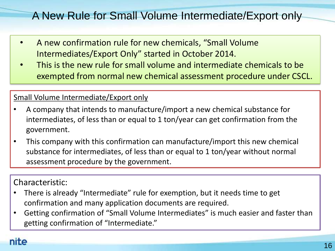### A New Rule for Small Volume Intermediate/Export only

- A new confirmation rule for new chemicals, "Small Volume Intermediates/Export Only" started in October 2014.
- This is the new rule for small volume and intermediate chemicals to be exempted from normal new chemical assessment procedure under CSCL.

#### Small Volume Intermediate/Export only

- A company that intends to manufacture/import a new chemical substance for intermediates, of less than or equal to 1 ton/year can get confirmation from the government.
- This company with this confirmation can manufacture/import this new chemical substance for intermediates, of less than or equal to 1 ton/year without normal assessment procedure by the government.

#### Characteristic:

- There is already "Intermediate" rule for exemption, but it needs time to get confirmation and many application documents are required.
- Getting confirmation of "Small Volume Intermediates" is much easier and faster than getting confirmation of "Intermediate."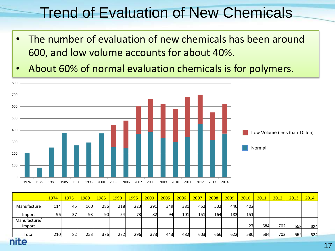### Trend of Evaluation of New Chemicals

- The number of evaluation of new chemicals has been around (届出件数) 600, and low volume accounts for about 40%.
- About 60% of normal evaluation chemicals is for polymers.



|                        | 1974 | 1975 | 1980 | 1985 | <b>1990</b> | <b>1995</b> | 2000 | 2005 | 2006 | 2007       | 2008 | 2009 | 2010 | 2011 | 2012 | 2013 | 2014 |
|------------------------|------|------|------|------|-------------|-------------|------|------|------|------------|------|------|------|------|------|------|------|
| Manufacture            | 114l | 45I  | 160  | 286  | 218         | 223         | 291  | 349  | 381  | 452        | 502  | 440  | 402l |      |      |      |      |
| Import                 | 96   | 37   | 93   | 90   | 54          | 73          | 82   | 94   | 101  | <b>151</b> | 164  | 182  | 151  |      |      |      |      |
| Manufacture/<br>Import |      |      |      |      |             |             |      |      |      |            |      |      | 27   | 684  | 702  | 552  | 624  |
| Total<br>. .           | 210  | 821  | 253  | 376  | 272         | <b>296</b>  | 373  | 443  | 482  | 603        | 666  | 622  | 580l | 684  | 702  | 552  | 624  |

nite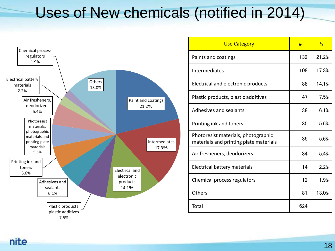### Uses of New chemicals (notified in 2014)



| <b>Use Category</b>                                                           | #   | $\frac{0}{0}$ |
|-------------------------------------------------------------------------------|-----|---------------|
| Paints and coatings                                                           | 132 | 21.2%         |
| Intermediates                                                                 | 108 | 17.3%         |
| Electrical and electronic products                                            | 88  | 14.1%         |
| Plastic products, plastic additives                                           | 47  | 7.5%          |
| Adhesives and sealants                                                        | 38  | 6.1%          |
| Printing ink and toners                                                       | 35  | 5.6%          |
| Photoresist materials, photographic<br>materials and printing plate materials | 35  | 5.6%          |
| Air fresheners, deodorizers                                                   | 34  | 5.4%          |
| Electrical battery materials                                                  | 14  | 2.2%          |
| Chemical process regulators                                                   | 12  | 1.9%          |
| Others                                                                        | 81  | 13.0%         |
| Total                                                                         | 624 |               |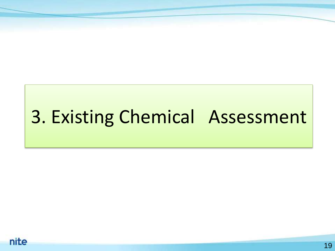# 3. Existing Chemical Assessment

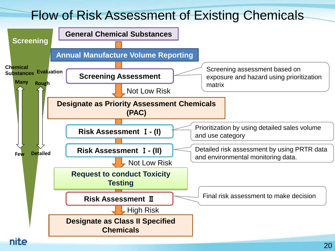### Flow of Risk Assessment of Existing Chemicals

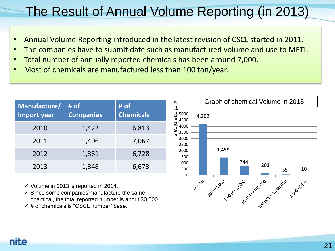### The Result of Annual Volume Reporting (in 2013)

- Annual Volume Reporting introduced in the latest revision of CSCL started in 2011.
- The companies have to submit date such as manufactured volume and use to METI.
- Total number of annually reported chemicals has been around 7,000.
- Most of chemicals are manufactured less than 100 ton/year.

| Manufacture/<br><b>Import year</b> | # of<br><b>Companies</b> | # of<br><b>Chemicals</b> |
|------------------------------------|--------------------------|--------------------------|
| 2010                               | 1,422                    | 6,813                    |
| 2011                               | 1,406                    | 7,067                    |
| 2012                               | 1,361                    | 6,728                    |
| 2013                               | 1,348                    | 6,673                    |

- $\checkmark$  Volume in 2013 is reported in 2014.
- $\checkmark$  Since some companies manufacture the same chemical, the total reported number is about 30,000
- $\checkmark$  # of chemicals is "CSCL number" base.

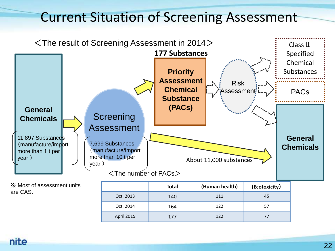### Current Situation of Screening Assessment



※ Most of assessment units are CAS.

|            | <b>Total</b> | (Human health) | (Ecotoxicity) |
|------------|--------------|----------------|---------------|
| Oct. 2013  | 140          | 111            | 45            |
| Oct. 2014  | 164          | 122            | -57           |
| April 2015 | 177          | 122            | 77            |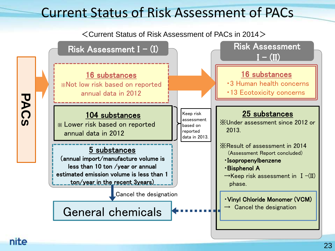### Current Status of Risk Assessment of PACs

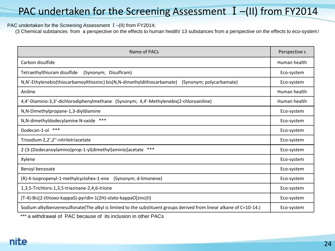#### PAC undertaken for the Screening Assessment I-(II) from FY2014

#### PAC undertaken for the Screening Assessment I-(II) from FY2014;

(3 Chemical substances from a perspective on the effects to human health/ 13 substances from a perspective on the effects to eco-system)

| Name of PACs                                                                                                        |              |  |  |  |  |
|---------------------------------------------------------------------------------------------------------------------|--------------|--|--|--|--|
| Carbon disulfide                                                                                                    | Human health |  |  |  |  |
| Tetraethylthiuram disulfide<br>(Synonym; Disulfiram)                                                                | Eco-system   |  |  |  |  |
| N,N'-Ethylenebis(thiocarbamoylthiozinc) bis(N,N-dimethyldithiocarbamate)<br>(Synonym; polycarbamate)                | Eco-system   |  |  |  |  |
| Aniline                                                                                                             | Human health |  |  |  |  |
| 4,4'-Diamino-3,3'-dichlorodiphenylmethane (Synonym; 4,4'-Methylenebis(2-chloroaniline)                              | Human health |  |  |  |  |
| N, N-Dimethylpropane-1, 3-diyldiamine                                                                               | Eco-system   |  |  |  |  |
| ***<br>N, N-dimethyldodecylamine N-oxide                                                                            |              |  |  |  |  |
| ***<br>Dodecan-1-ol                                                                                                 |              |  |  |  |  |
| Trisodium 2,2',2"-nitrilotriacetate                                                                                 |              |  |  |  |  |
| ***<br>2-[3-(Dodecanoylamino)prop-1-yl(dimethyl)aminio]acetate                                                      |              |  |  |  |  |
| Xylene                                                                                                              | Eco-system   |  |  |  |  |
| Benzyl benzoate                                                                                                     | Eco-system   |  |  |  |  |
| (R)-4-Isopropenyl-1-methylcyclohex-1-ene<br>(Synonym; d-limonene)                                                   |              |  |  |  |  |
| 1,3,5-Trichloro-1,3,5-triazinane-2,4,6-trione                                                                       |              |  |  |  |  |
| (T-4)-Bis[2-(thioxo-kappaS)-pyridin-1(2H)-olato-kappaO]zinc(II)                                                     |              |  |  |  |  |
| Sodium alkylbenzenesulfonate(The alkyl is limited to the substituent groups derived from linear alkane of C=10-14.) | Eco-system   |  |  |  |  |

\*\*\* a withdrawal of PAC because of its inclusion in other PACs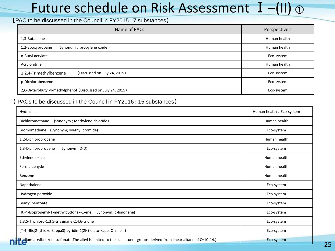### Future schedule on Risk Assessment  $I - (II) \odot$

#### 【PAC to be discussed in the Council in FY2015: 7 substances】

| Name of PACs                                                  | Perspective s |
|---------------------------------------------------------------|---------------|
| 1,3-Butadiene                                                 | Human health  |
| (Synonum ; propylene oxide)<br>1,2-Epoxypropane               | Human health  |
| n-Butyl acrylate                                              | Eco-system    |
| Acrylonitrile                                                 | Human health  |
| 1,2,4-Trimethylbenzene<br>(Discussed on July 24, 2015)        | Eco-system    |
| p-Dichlorobenzene                                             | Eco-system    |
| 2,6-Di-tert-butyl-4-methylphenol (Discussed on July 24, 2015) | Eco-system    |

#### 【 PACs to be discussed in the Council in FY2016: 15 substances】

| Hydrazine                                                                                                           | Human health, Eco-system |
|---------------------------------------------------------------------------------------------------------------------|--------------------------|
| (Synonym ; Methylene chloride)<br>Dichloromethane                                                                   | Human health             |
| Bromomethane<br>(Synonym; Methyl bromide)                                                                           | Eco-system               |
| 1,2-Dichloropropane                                                                                                 | Human health             |
| (Synonym; D-D)<br>1,3-Dichloropropene                                                                               | Eco-system               |
| Ethylene oxide                                                                                                      | Human health             |
| Formaldehyde                                                                                                        | Human health             |
| Benzene                                                                                                             | Human health             |
| Naphthalene                                                                                                         | Eco-system               |
| Hydrogen peroxide                                                                                                   | Eco-system               |
| Benzyl benzoate                                                                                                     | Eco-system               |
| (R)-4-Isopropenyl-1-methylcyclohex-1-ene (Synonym; d-limonene)                                                      | Eco-system               |
| 1,3,5-Trichloro-1,3,5-triazinane-2,4,6-trione                                                                       | Eco-system               |
| (T-4)-Bis[2-(thioxo-kappaS)-pyridin-1(2H)-olato-kappaO]zinc(II)                                                     | Eco-system               |
| Sodium alkylbenzenesulfonate(The alkyl is limited to the substituent groups derived from linear alkane of C=10-14.) | Eco-system               |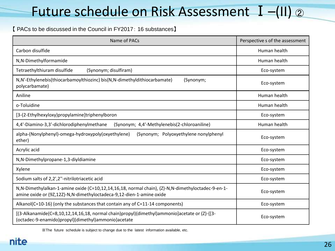### Future schedule on Risk Assessment I-(II) 2

#### 【 PACs to be discussed in the Council in FY2017: 16 substances】

| Name of PACs                                                                                                                                                              | Perspective s of the assessment |  |
|---------------------------------------------------------------------------------------------------------------------------------------------------------------------------|---------------------------------|--|
| Carbon disulfide                                                                                                                                                          | Human health                    |  |
| N,N-Dimethylformamide                                                                                                                                                     | Human health                    |  |
| Tetraethylthiuram disulfide<br>(Synonym; disulfiram)                                                                                                                      | Eco-system                      |  |
| N, N'-Ethylenebis(thiocarbamoylthiozinc) bis(N, N-dimethyldithiocarbamate)<br>(Synonym;<br>polycarbamate)                                                                 | Eco-system                      |  |
| Aniline                                                                                                                                                                   | Human health                    |  |
| o-Toluidine                                                                                                                                                               | Human health                    |  |
| [3-(2-Ethylhexyloxy)propylamine]triphenylboron                                                                                                                            | Eco-system                      |  |
| 4,4'-Diamino-3,3'-dichlorodiphenylmethane<br>(Synonym; 4,4'-Methylenebis(2-chloroaniline)                                                                                 | Human health                    |  |
| alpha-(Nonylphenyl)-omega-hydroxypoly(oxyethylene)<br>(Synonym; Polyoxyethylene nonylphenyl<br>ether)                                                                     | Eco-system                      |  |
| Acrylic acid                                                                                                                                                              | Eco-system                      |  |
| N,N-Dimethylpropane-1,3-diyldiamine                                                                                                                                       | Eco-system                      |  |
| Xylene                                                                                                                                                                    | Eco-system                      |  |
| Sodium salts of 2,2',2"-nitrilotriacetic acid                                                                                                                             | Eco-system                      |  |
| N,N-Dimethylalkan-1-amine oxide (C=10,12,14,16,18, normal chain), (Z)-N,N-dimethyloctadec-9-en-1-<br>amine oxide or (9Z,12Z)-N,N-dimethyloctadeca-9,12-dien-1-amine oxide | Eco-system                      |  |
| Alkanol( $C=10-16$ ) (only the substances that contain any of $C=11-14$ components)                                                                                       | Eco-system                      |  |
| [(3-Alkanamide(C=8,10,12,14,16,18, normal chain)propyl)(dimethyl)ammonio]acetate or (Z)-{[3-<br>(octadec-9-enamido)propyl](dimethyl)ammonio}acetate                       | Eco-system                      |  |

※The future schedule is subject to change due to the latest information available, etc.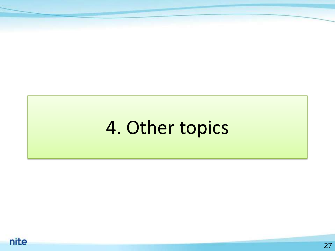## 4. Other topics

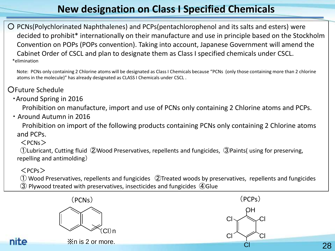#### **New designation on Class I Specified Chemicals**

○ PCNs(Polychlorinated Naphthalenes) and PCPs(pentachlorophenol and its salts and esters) were decided to prohibit\* internationally on their manufacture and use in principle based on the Stockholm Convention on POPs (POPs convention). Taking into account, Japanese Government will amend the Cabinet Order of CSCL and plan to designate them as Class I specified chemicals under CSCL. \*elimination

 Note: PCNs only containing 2 Chlorine atoms will be designated as Class I Chemicals because "PCNs (only those containing more than 2 chlorine atoms in the molecule)" has already designated as CLASS I Chemicals under CSCL .

#### ○Future Schedule

・Around Spring in 2016

Prohibition on manufacture, import and use of PCNs only containing 2 Chlorine atoms and PCPs.

・ Around Autumn in 2016

 Prohibition on import of the following products containing PCNs only containing 2 Chlorine atoms and PCPs.

#### $<$ PCNs $>$

①Lubricant, Cutting fluid ②Wood Preservatives, repellents and fungicides, ③Paints( using for preserving, repelling and antimolding)

#### $<$ PCPs $>$

 ① Wood Preservatives, repellents and fungicides ②Treated woods by preservatives, repellents and fungicides ③ Plywood treated with preservatives, insecticides and fungicides ④Glue

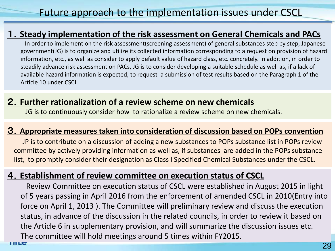#### 1.**Steady implementation of the risk assessment on General Chemicals and PACs**

In order to implement on the risk assessment(screening assessment) of general substances step by step, Japanese government(JG) is to organize and utilize its collected information corresponding to a request on provision of hazard information, etc., as well as consider to apply default value of hazard class, etc. concretely. In addition, in order to steadily advance risk assessment on PACs, JG is to consider developing a suitable schedule as well as, if a lack of available hazard information is expected, to request a submission of test results based on the Paragraph 1 of the Article 10 under CSCL.

#### 2.**Further rationalization of a review scheme on new chemicals**

JG is to continuously consider how to rationalize a review scheme on new chemicals.

#### 3.**Appropriate measures taken into consideration of discussion based on POPs convention**

JP is to contribute on a discussion of adding a new substances to POPs substance list in POPs review committee by actively providing information as well as, if substances are added in the POPs substance list, to promptly consider their designation as Class I Specified Chemical Substances under the CSCL.

#### 4.**Establishment of review committee on execution status of CSCL**

Review Committee on execution status of CSCL were established in August 2015 in light of 5 years passing in April 2016 from the enforcement of amended CSCL in 2010(Entry into force on April 1, 2013 ). The Committee will preliminary review and discuss the execution status, in advance of the discussion in the related councils, in order to review it based on the Article 6 in supplementary provision, and will summarize the discussion issues etc. The committee will hold meetings around 5 times within FY2015.